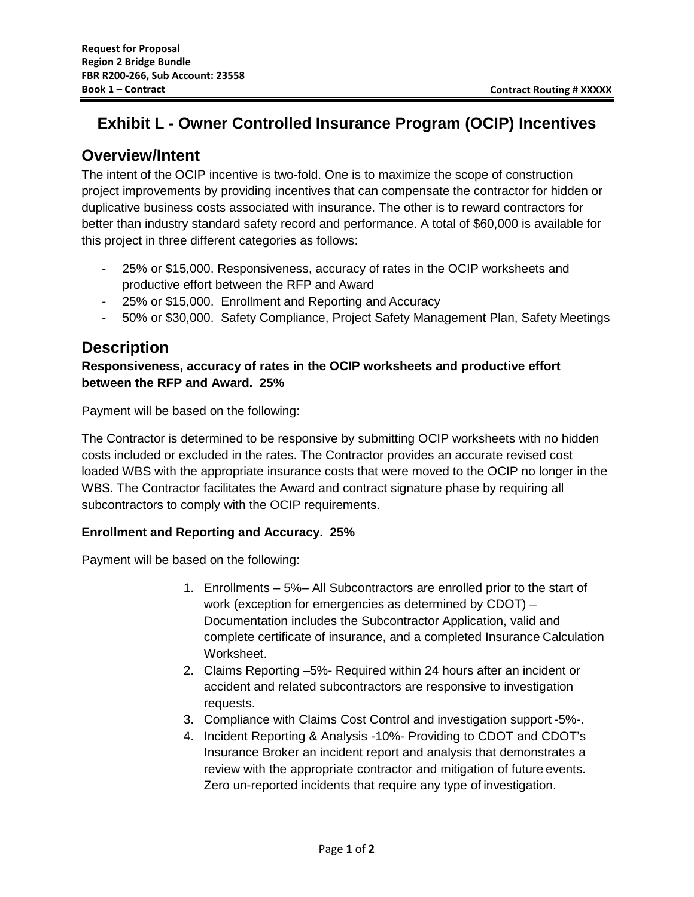# **Exhibit L - Owner Controlled Insurance Program (OCIP) Incentives**

### **Overview/Intent**

The intent of the OCIP incentive is two-fold. One is to maximize the scope of construction project improvements by providing incentives that can compensate the contractor for hidden or duplicative business costs associated with insurance. The other is to reward contractors for better than industry standard safety record and performance. A total of \$60,000 is available for this project in three different categories as follows:

- 25% or \$15,000. Responsiveness, accuracy of rates in the OCIP worksheets and productive effort between the RFP and Award
- 25% or \$15,000. Enrollment and Reporting and Accuracy
- 50% or \$30,000. Safety Compliance, Project Safety Management Plan, Safety Meetings

## **Description**

### **Responsiveness, accuracy of rates in the OCIP worksheets and productive effort between the RFP and Award. 25%**

Payment will be based on the following:

The Contractor is determined to be responsive by submitting OCIP worksheets with no hidden costs included or excluded in the rates. The Contractor provides an accurate revised cost loaded WBS with the appropriate insurance costs that were moved to the OCIP no longer in the WBS. The Contractor facilitates the Award and contract signature phase by requiring all subcontractors to comply with the OCIP requirements.

### **Enrollment and Reporting and Accuracy. 25%**

Payment will be based on the following:

- 1. Enrollments 5%– All Subcontractors are enrolled prior to the start of work (exception for emergencies as determined by CDOT) – Documentation includes the Subcontractor Application, valid and complete certificate of insurance, and a completed Insurance Calculation Worksheet.
- 2. Claims Reporting –5%- Required within 24 hours after an incident or accident and related subcontractors are responsive to investigation requests.
- 3. Compliance with Claims Cost Control and investigation support -5%-.
- 4. Incident Reporting & Analysis -10%- Providing to CDOT and CDOT's Insurance Broker an incident report and analysis that demonstrates a review with the appropriate contractor and mitigation of future events. Zero un-reported incidents that require any type of investigation.